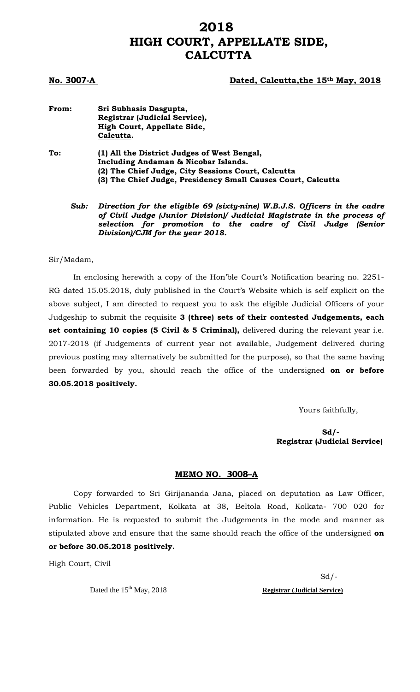# **2018 HIGH COURT, APPELLATE SIDE, CALCUTTA**

### **No. 3007-A Dated, Calcutta,the 15th May, 2018**

**From: Sri Subhasis Dasgupta, Registrar (Judicial Service),**  **High Court, Appellate Side, Calcutta. To: (1) All the District Judges of West Bengal, Including Andaman & Nicobar Islands. (2) The Chief Judge, City Sessions Court, Calcutta (3) The Chief Judge, Presidency Small Causes Court, Calcutta**

*Sub: Direction for the eligible 69 (sixty-nine) W.B.J.S. Officers in the cadre of Civil Judge (Junior Division)/ Judicial Magistrate in the process of selection for promotion to the cadre of Civil Judge (Senior Division)/CJM for the year 2018.* 

#### Sir/Madam,

 In enclosing herewith a copy of the Hon'ble Court's Notification bearing no. 2251- RG dated 15.05.2018, duly published in the Court's Website which is self explicit on the above subject, I am directed to request you to ask the eligible Judicial Officers of your Judgeship to submit the requisite **3 (three) sets of their contested Judgements, each set containing 10 copies (5 Civil & 5 Criminal),** delivered during the relevant year i.e. 2017-2018 (if Judgements of current year not available, Judgement delivered during previous posting may alternatively be submitted for the purpose), so that the same having been forwarded by you, should reach the office of the undersigned **on or before 30.05.2018 positively.** 

Yours faithfully,

 **Sd/- Registrar (Judicial Service)** 

#### **MEMO NO. 3008–A**

 Copy forwarded to Sri Girijananda Jana, placed on deputation as Law Officer, Public Vehicles Department, Kolkata at 38, Beltola Road, Kolkata- 700 020 for information. He is requested to submit the Judgements in the mode and manner as stipulated above and ensure that the same should reach the office of the undersigned **on or before 30.05.2018 positively.** 

High Court, Civil

 Sd/- Dated the 15<sup>th</sup> May, 2018<br>**Registrar (Judicial Service)**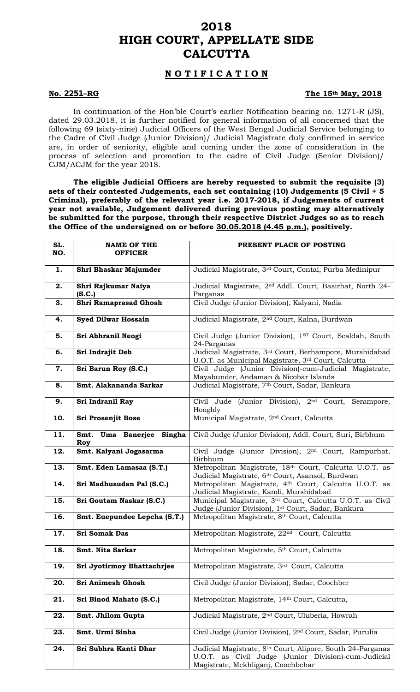## **2018 HIGH COURT, APPELLATE SIDE CALCUTTA**

## **N O T I F I C A T I O N**

### **No. 2251–RG** The 15<sup>th</sup> May, 2018

In continuation of the Hon'ble Court's earlier Notification bearing no. 1271-R (JS), dated 29.03.2018, it is further notified for general information of all concerned that the following 69 (sixty-nine) Judicial Officers of the West Bengal Judicial Service belonging to the Cadre of Civil Judge (Junior Division)/ Judicial Magistrate duly confirmed in service are, in order of seniority, eligible and coming under the zone of consideration in the process of selection and promotion to the cadre of Civil Judge (Senior Division)/ CJM/ACJM for the year 2018.

**The eligible Judicial Officers are hereby requested to submit the requisite (3) sets of their contested Judgements, each set containing (10) Judgements (5 Civil + 5 Criminal), preferably of the relevant year i.e. 2017-2018, if Judgements of current year not available, Judgement delivered during previous posting may alternatively be submitted for the purpose, through their respective District Judges so as to reach the Office of the undersigned on or before 30.05.2018 (4.45 p.m.), positively.** 

| SL.<br>NO. | <b>NAME OF THE</b><br><b>OFFICER</b> | PRESENT PLACE OF POSTING                                                                                                                                 |
|------------|--------------------------------------|----------------------------------------------------------------------------------------------------------------------------------------------------------|
| 1.         | Shri Bhaskar Majumder                | Judicial Magistrate, 3rd Court, Contai, Purba Medinipur                                                                                                  |
| 2.         | Shri Rajkumar Naiya<br>(S.C.)        | Judicial Magistrate, 2 <sup>nd</sup> Addl. Court, Basirhat, North 24-<br>Parganas                                                                        |
| З.         | Shri Ramaprasad Ghosh                | Civil Judge (Junior Division), Kalyani, Nadia                                                                                                            |
| 4.         | <b>Syed Dilwar Hossain</b>           | Judicial Magistrate, 2 <sup>nd</sup> Court, Kalna, Burdwan                                                                                               |
| 5.         | Sri Abhranil Neogi                   | Civil Judge (Junior Division), 1ST Court, Sealdah, South<br>24-Parganas                                                                                  |
| 6.         | Sri Indrajit Deb                     | Judicial Magistrate, 3rd Court, Berhampore, Murshidabad<br>U.O.T. as Municipal Magistrate, 3rd Court, Calcutta                                           |
| 7.         | Sri Barun Roy (S.C.)                 | Civil Judge (Junior Division)-cum-Judicial Magistrate,<br>Mayabunder, Andaman & Nicobar Islands                                                          |
| 8.         | Smt. Alakananda Sarkar               | Judicial Magistrate, 7 <sup>th</sup> Court, Sadar, Bankura                                                                                               |
| 9.         | Sri Indranil Ray                     | Civil Jude (Junior Division), 2 <sup>nd</sup> Court, Serampore,<br>Hooghly                                                                               |
| 10.        | Sri Prosenjit Bose                   | Municipal Magistrate, 2 <sup>nd</sup> Court, Calcutta                                                                                                    |
| 11.        | Smt. Uma Banerjee Singha<br>Roy      | Civil Judge (Junior Division), Addl. Court, Suri, Birbhum                                                                                                |
| 12.        | Smt. Kalyani Jogasarma               | Civil Judge (Junior Division), 2 <sup>nd</sup> Court, Rampurhat,<br>Birbhum                                                                              |
| 13.        | Smt. Eden Lamasaa (S.T.)             | Metropolitan Magistrate, 18th Court, Calcutta U.O.T. as<br>Judicial Magistrate, 6th Court, Asansol, Burdwan                                              |
| 14.        | Sri Madhusudan Pal (S.C.)            | Metropolitan Magistrate, 4th Court, Calcutta U.O.T. as<br>Judicial Magistrate, Kandi, Murshidabad                                                        |
| 15.        | Sri Goutam Naskar (S.C.)             | Municipal Magistrate, 3rd Court, Calcutta U.O.T. as Civil<br>Judge (Junior Division), 1 <sup>st</sup> Court, Sadar, Bankura                              |
| 16.        | Smt. Euepundee Lepcha (S.T.)         | Metropolitan Magistrate, 8th Court, Calcutta                                                                                                             |
| 17.        | <b>Sri Somak Das</b>                 | Metropolitan Magistrate, 22 <sup>nd</sup> Court, Calcutta                                                                                                |
| 18.        | Smt. Nita Sarkar                     | Metropolitan Magistrate, 5th Court, Calcutta                                                                                                             |
| 19.        | Sri Jyotirmoy Bhattachrjee           | Metropolitan Magistrate, 3rd Court, Calcutta                                                                                                             |
| 20.        | Sri Animesh Ghosh                    | Civil Judge (Junior Division), Sadar, Coochber                                                                                                           |
| 21.        | Sri Binod Mahato (S.C.)              | Metropolitan Magistrate, 14th Court, Calcutta,                                                                                                           |
| 22.        | Smt. Jhilom Gupta                    | Judicial Magistrate, 2 <sup>nd</sup> Court, Uluberia, Howrah                                                                                             |
| 23.        | Smt. Urmi Sinha                      | Civil Judge (Junior Division), 2 <sup>nd</sup> Court, Sadar, Purulia                                                                                     |
| 24.        | Sri Subhra Kanti Dhar                | Judicial Magistrate, 8th Court, Alipore, South 24-Parganas<br>U.O.T. as Civil Judge (Junior Division)-cum-Judicial<br>Magistrate, Mekhliganj, Coochbehar |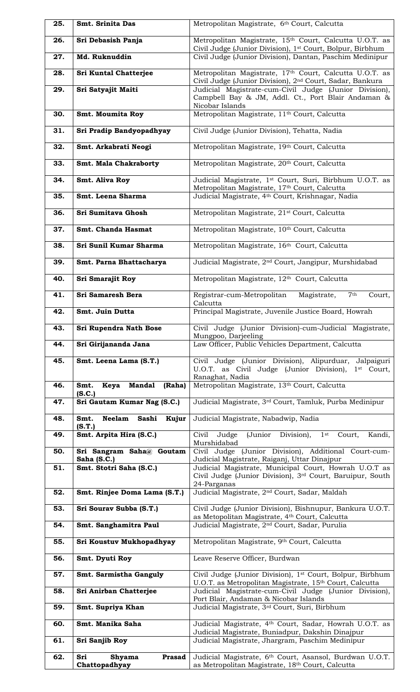| 25. | Smt. Srinita Das                                  | Metropolitan Magistrate, 6th Court, Calcutta                                                                                                   |
|-----|---------------------------------------------------|------------------------------------------------------------------------------------------------------------------------------------------------|
| 26. | Sri Debasish Panja                                | Metropolitan Magistrate, 15th Court, Calcutta U.O.T. as<br>Civil Judge (Junior Division), 1st Court, Bolpur, Birbhum                           |
| 27. | Md. Ruknuddin                                     | Civil Judge (Junior Division), Dantan, Paschim Medinipur                                                                                       |
| 28. | Sri Kuntal Chatterjee                             | Metropolitan Magistrate, 17th Court, Calcutta U.O.T. as<br>Civil Judge (Junior Division), 2 <sup>nd</sup> Court, Sadar, Bankura                |
| 29. | Sri Satyajit Maiti                                | Judicial Magistrate-cum-Civil Judge (Junior Division),<br>Campbell Bay & JM, Addl. Ct., Port Blair Andaman &                                   |
| 30. | Smt. Moumita Roy                                  | Nicobar Islands<br>Metropolitan Magistrate, 11 <sup>th</sup> Court, Calcutta                                                                   |
| 31. | Sri Pradip Bandyopadhyay                          | Civil Judge (Junior Division), Tehatta, Nadia                                                                                                  |
| 32. | Smt. Arkabrati Neogi                              | Metropolitan Magistrate, 19th Court, Calcutta                                                                                                  |
| 33. | Smt. Mala Chakraborty                             | Metropolitan Magistrate, 20th Court, Calcutta                                                                                                  |
| 34. | Smt. Aliva Roy                                    | Judicial Magistrate, 1 <sup>st</sup> Court, Suri, Birbhum U.O.T. as<br>Metropolitan Magistrate, 17th Court, Calcutta                           |
| 35. | Smt. Leena Sharma                                 | Judicial Magistrate, 4 <sup>th</sup> Court, Krishnagar, Nadia                                                                                  |
| 36. | Sri Sumitava Ghosh                                | Metropolitan Magistrate, 21 <sup>st</sup> Court, Calcutta                                                                                      |
| 37. | Smt. Chanda Hasmat                                | Metropolitan Magistrate, 10th Court, Calcutta                                                                                                  |
| 38. | Sri Sunil Kumar Sharma                            | Metropolitan Magistrate, 16th Court, Calcutta                                                                                                  |
| 39. | Smt. Parna Bhattacharya                           | Judicial Magistrate, 2 <sup>nd</sup> Court, Jangipur, Murshidabad                                                                              |
| 40. | Sri Smarajit Roy                                  | Metropolitan Magistrate, 12th Court, Calcutta                                                                                                  |
| 41. | Sri Samaresh Bera                                 | 7 <sup>th</sup><br>Registrar-cum-Metropolitan<br>Magistrate,<br>Court.<br>Calcutta                                                             |
| 42. | Smt. Juin Dutta                                   | Principal Magistrate, Juvenile Justice Board, Howrah                                                                                           |
| 43. | Sri Rupendra Nath Bose                            | Civil Judge (Junior Division)-cum-Judicial Magistrate,<br>Mungpoo, Darjeeling                                                                  |
| 44. | Sri Girijananda Jana                              | Law Officer, Public Vehicles Department, Calcutta                                                                                              |
| 45. | Smt. Leena Lama (S.T.)                            | Civil Judge (Junior Division), Alipurduar, Jalpaiguri<br>U.O.T. as Civil Judge (Junior Division),<br>1 <sup>st</sup> Court,<br>Ranaghat, Nadia |
| 46. | <b>Mandal</b><br>(Raha)<br>Smt.<br>Keya<br>(S.C.) | Metropolitan Magistrate, 13th Court, Calcutta                                                                                                  |
| 47. | Sri Gautam Kumar Nag (S.C.)                       | Judicial Magistrate, 3rd Court, Tamluk, Purba Medinipur                                                                                        |
| 48. | Smt.<br><b>Neelam</b><br>Sashi<br>Kujur<br>(S.T.) | Judicial Magistrate, Nabadwip, Nadia                                                                                                           |
| 49. | Smt. Arpita Hira (S.C.)                           | (Junior Division),<br>$1$ st<br>Civil<br>Judge<br>Court,<br>Kandi,<br>Murshidabad                                                              |
| 50. | Sri Sangram Saha@ Goutam<br>Saha (S.C.)           | Civil Judge (Junior Division), Additional Court-cum-<br>Judicial Magistrate, Raiganj, Uttar Dinajpur                                           |
| 51. | Smt. Stotri Saha (S.C.)                           | Judicial Magistrate, Municipal Court, Howrah U.O.T as<br>Civil Judge (Junior Division), 3rd Court, Baruipur, South<br>24-Parganas              |
| 52. | Smt. Rinjee Doma Lama (S.T.)                      | Judicial Magistrate, 2 <sup>nd</sup> Court, Sadar, Maldah                                                                                      |
| 53. | Sri Sourav Subba (S.T.)                           | Civil Judge (Junior Division), Bishnupur, Bankura U.O.T.<br>as Metopolitan Magistrate, 4th Court, Calcutta                                     |
| 54. | Smt. Sanghamitra Paul                             | Judicial Magistrate, 2 <sup>nd</sup> Court, Sadar, Purulia                                                                                     |
| 55. | Sri Koustuv Mukhopadhyay                          | Metropolitan Magistrate, 9th Court, Calcutta                                                                                                   |
| 56. | Smt. Dyuti Roy                                    | Leave Reserve Officer, Burdwan                                                                                                                 |
| 57. | Smt. Sarmistha Ganguly                            | Civil Judge (Junior Division), 1 <sup>st</sup> Court, Bolpur, Birbhum<br>U.O.T. as Metropolitan Magistrate, 15th Court, Calcutta               |
| 58. | Sri Anirban Chatterjee                            | Judicial Magistrate-cum-Civil Judge (Junior Division),<br>Port Blair, Andaman & Nicobar Islands                                                |
| 59. | Smt. Supriya Khan                                 | Judicial Magistrate, 3rd Court, Suri, Birbhum                                                                                                  |
| 60. | Smt. Manika Saha                                  | Judicial Magistrate, 4th Court, Sadar, Howrah U.O.T. as<br>Judicial Magistrate, Buniadpur, Dakshin Dinajpur                                    |
| 61. | Sri Sanjib Roy                                    | Judicial Magistrate, Jhargram, Paschim Medinipur                                                                                               |
| 62. | Sri<br><b>Prasad</b><br>Shyama<br>Chattopadhyay   | Judicial Magistrate, 6th Court, Asansol, Burdwan U.O.T.<br>as Metropolitan Magistrate, 18th Court, Calcutta                                    |